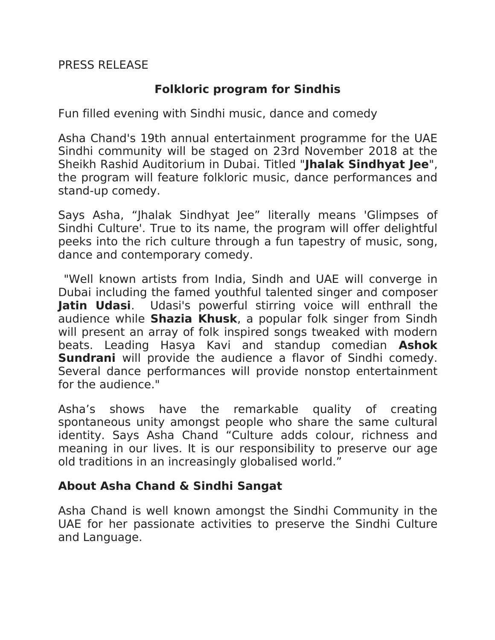PRESS RELEASE

## **Folkloric program for Sindhis**

Fun filled evening with Sindhi music, dance and comedy

Asha Chand's 19th annual entertainment programme for the UAE Sindhi community will be staged on 23rd November 2018 at the Sheikh Rashid Auditorium in Dubai. Titled "**Jhalak Sindhyat Jee**", the program will feature folkloric music, dance performances and stand-up comedy.

Says Asha, "Jhalak Sindhyat Jee" literally means 'Glimpses of Sindhi Culture'. True to its name, the program will offer delightful peeks into the rich culture through a fun tapestry of music, song, dance and contemporary comedy.

"Well known artists from India, Sindh and UAE will converge in Dubai including the famed youthful talented singer and composer **Jatin Udasi**. Udasi's powerful stirring voice will enthrall the audience while **Shazia Khusk**, a popular folk singer from Sindh will present an array of folk inspired songs tweaked with modern beats. Leading Hasya Kavi and standup comedian **Ashok Sundrani** will provide the audience a flavor of Sindhi comedy. Several dance performances will provide nonstop entertainment for the audience."

Asha's shows have the remarkable quality of creating spontaneous unity amongst people who share the same cultural identity. Says Asha Chand "Culture adds colour, richness and meaning in our lives. It is our responsibility to preserve our age old traditions in an increasingly globalised world."

## **About Asha Chand & Sindhi Sangat**

Asha Chand is well known amongst the Sindhi Community in the UAE for her passionate activities to preserve the Sindhi Culture and Language.